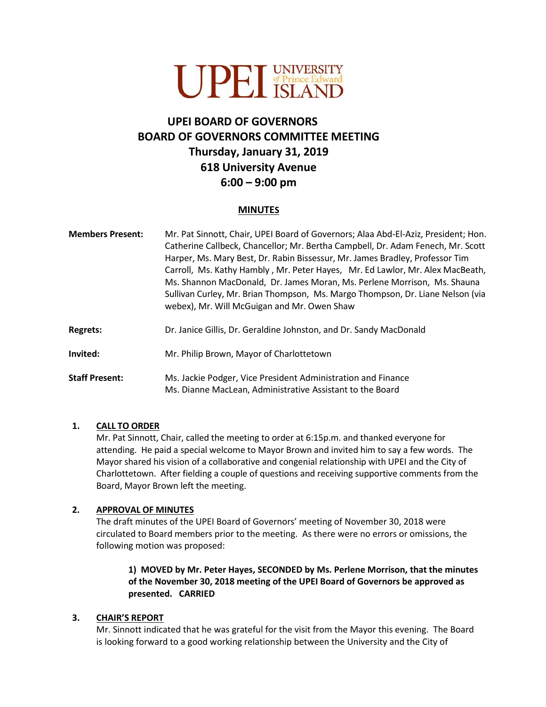

# **UPEI BOARD OF GOVERNORS BOARD OF GOVERNORS COMMITTEE MEETING Thursday, January 31, 2019 618 University Avenue 6:00 – 9:00 pm**

#### **MINUTES**

| <b>Members Present:</b> | Mr. Pat Sinnott, Chair, UPEI Board of Governors; Alaa Abd-El-Aziz, President; Hon.<br>Catherine Callbeck, Chancellor; Mr. Bertha Campbell, Dr. Adam Fenech, Mr. Scott<br>Harper, Ms. Mary Best, Dr. Rabin Bissessur, Mr. James Bradley, Professor Tim<br>Carroll, Ms. Kathy Hambly, Mr. Peter Hayes, Mr. Ed Lawlor, Mr. Alex MacBeath,<br>Ms. Shannon MacDonald, Dr. James Moran, Ms. Perlene Morrison, Ms. Shauna<br>Sullivan Curley, Mr. Brian Thompson, Ms. Margo Thompson, Dr. Liane Nelson (via<br>webex), Mr. Will McGuigan and Mr. Owen Shaw |
|-------------------------|-----------------------------------------------------------------------------------------------------------------------------------------------------------------------------------------------------------------------------------------------------------------------------------------------------------------------------------------------------------------------------------------------------------------------------------------------------------------------------------------------------------------------------------------------------|
| <b>Regrets:</b>         | Dr. Janice Gillis, Dr. Geraldine Johnston, and Dr. Sandy MacDonald                                                                                                                                                                                                                                                                                                                                                                                                                                                                                  |
| Invited:                | Mr. Philip Brown, Mayor of Charlottetown                                                                                                                                                                                                                                                                                                                                                                                                                                                                                                            |
| <b>Staff Present:</b>   | Ms. Jackie Podger, Vice President Administration and Finance<br>Ms. Dianne MacLean, Administrative Assistant to the Board                                                                                                                                                                                                                                                                                                                                                                                                                           |

#### **1. CALL TO ORDER**

Mr. Pat Sinnott, Chair, called the meeting to order at 6:15p.m. and thanked everyone for attending. He paid a special welcome to Mayor Brown and invited him to say a few words. The Mayor shared his vision of a collaborative and congenial relationship with UPEI and the City of Charlottetown. After fielding a couple of questions and receiving supportive comments from the Board, Mayor Brown left the meeting.

#### **2. APPROVAL OF MINUTES**

The draft minutes of the UPEI Board of Governors' meeting of November 30, 2018 were circulated to Board members prior to the meeting. As there were no errors or omissions, the following motion was proposed:

**1) MOVED by Mr. Peter Hayes, SECONDED by Ms. Perlene Morrison, that the minutes of the November 30, 2018 meeting of the UPEI Board of Governors be approved as presented. CARRIED**

#### **3. CHAIR'S REPORT**

Mr. Sinnott indicated that he was grateful for the visit from the Mayor this evening. The Board is looking forward to a good working relationship between the University and the City of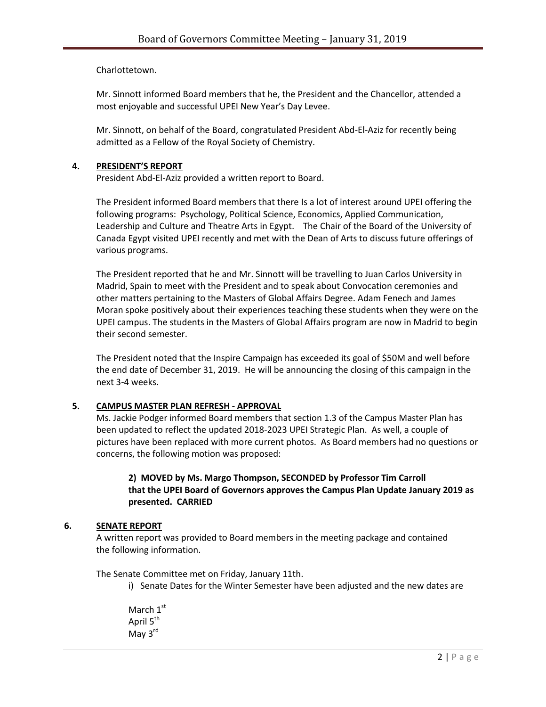Charlottetown.

Mr. Sinnott informed Board members that he, the President and the Chancellor, attended a most enjoyable and successful UPEI New Year's Day Levee.

Mr. Sinnott, on behalf of the Board, congratulated President Abd-El-Aziz for recently being admitted as a Fellow of the Royal Society of Chemistry.

#### **4. PRESIDENT'S REPORT**

President Abd-El-Aziz provided a written report to Board.

The President informed Board members that there Is a lot of interest around UPEI offering the following programs: Psychology, Political Science, Economics, Applied Communication, Leadership and Culture and Theatre Arts in Egypt. The Chair of the Board of the University of Canada Egypt visited UPEI recently and met with the Dean of Arts to discuss future offerings of various programs.

The President reported that he and Mr. Sinnott will be travelling to Juan Carlos University in Madrid, Spain to meet with the President and to speak about Convocation ceremonies and other matters pertaining to the Masters of Global Affairs Degree. Adam Fenech and James Moran spoke positively about their experiences teaching these students when they were on the UPEI campus. The students in the Masters of Global Affairs program are now in Madrid to begin their second semester.

The President noted that the Inspire Campaign has exceeded its goal of \$50M and well before the end date of December 31, 2019. He will be announcing the closing of this campaign in the next 3-4 weeks.

### **5. CAMPUS MASTER PLAN REFRESH - APPROVAL**

Ms. Jackie Podger informed Board members that section 1.3 of the Campus Master Plan has been updated to reflect the updated 2018-2023 UPEI Strategic Plan. As well, a couple of pictures have been replaced with more current photos. As Board members had no questions or concerns, the following motion was proposed:

#### **2) MOVED by Ms. Margo Thompson, SECONDED by Professor Tim Carroll that the UPEI Board of Governors approves the Campus Plan Update January 2019 as presented. CARRIED**

#### **6. SENATE REPORT**

A written report was provided to Board members in the meeting package and contained the following information.

The Senate Committee met on Friday, January 11th.

i) Senate Dates for the Winter Semester have been adjusted and the new dates are

March 1<sup>st</sup> April 5<sup>th</sup> May 3<sup>rd</sup>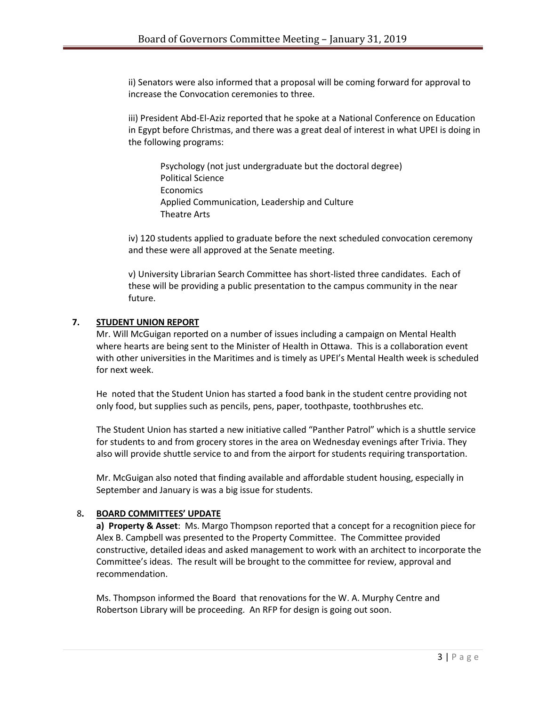ii) Senators were also informed that a proposal will be coming forward for approval to increase the Convocation ceremonies to three.

iii) President Abd-El-Aziz reported that he spoke at a National Conference on Education in Egypt before Christmas, and there was a great deal of interest in what UPEI is doing in the following programs:

Psychology (not just undergraduate but the doctoral degree) Political Science Economics Applied Communication, Leadership and Culture Theatre Arts

iv) 120 students applied to graduate before the next scheduled convocation ceremony and these were all approved at the Senate meeting.

v) University Librarian Search Committee has short-listed three candidates. Each of these will be providing a public presentation to the campus community in the near future.

#### **7. STUDENT UNION REPORT**

Mr. Will McGuigan reported on a number of issues including a campaign on Mental Health where hearts are being sent to the Minister of Health in Ottawa. This is a collaboration event with other universities in the Maritimes and is timely as UPEI's Mental Health week is scheduled for next week.

He noted that the Student Union has started a food bank in the student centre providing not only food, but supplies such as pencils, pens, paper, toothpaste, toothbrushes etc.

The Student Union has started a new initiative called "Panther Patrol" which is a shuttle service for students to and from grocery stores in the area on Wednesday evenings after Trivia. They also will provide shuttle service to and from the airport for students requiring transportation.

Mr. McGuigan also noted that finding available and affordable student housing, especially in September and January is was a big issue for students.

#### 8**. BOARD COMMITTEES' UPDATE**

**a) Property & Asset**: Ms. Margo Thompson reported that a concept for a recognition piece for Alex B. Campbell was presented to the Property Committee. The Committee provided constructive, detailed ideas and asked management to work with an architect to incorporate the Committee's ideas. The result will be brought to the committee for review, approval and recommendation.

Ms. Thompson informed the Board that renovations for the W. A. Murphy Centre and Robertson Library will be proceeding. An RFP for design is going out soon.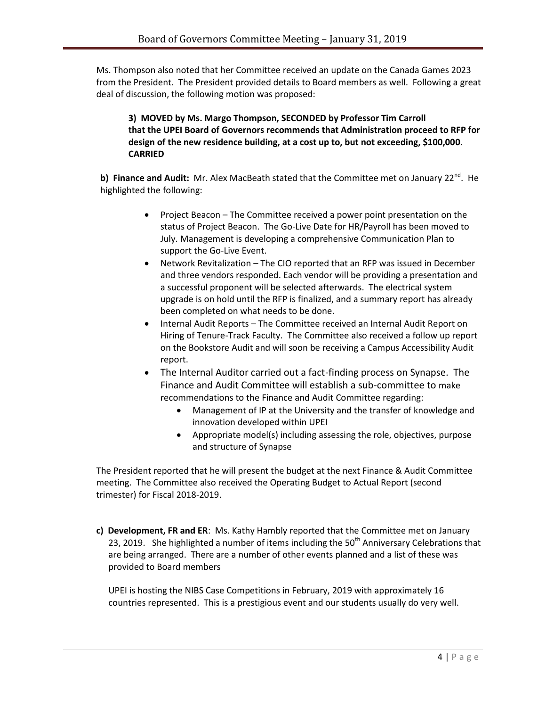Ms. Thompson also noted that her Committee received an update on the Canada Games 2023 from the President. The President provided details to Board members as well. Following a great deal of discussion, the following motion was proposed:

### **3) MOVED by Ms. Margo Thompson, SECONDED by Professor Tim Carroll that the UPEI Board of Governors recommends that Administration proceed to RFP for design of the new residence building, at a cost up to, but not exceeding, \$100,000. CARRIED**

b) Finance and Audit: Mr. Alex MacBeath stated that the Committee met on January 22<sup>nd</sup>. He highlighted the following:

- Project Beacon The Committee received a power point presentation on the status of Project Beacon. The Go-Live Date for HR/Payroll has been moved to July. Management is developing a comprehensive Communication Plan to support the Go-Live Event.
- Network Revitalization The CIO reported that an RFP was issued in December and three vendors responded. Each vendor will be providing a presentation and a successful proponent will be selected afterwards. The electrical system upgrade is on hold until the RFP is finalized, and a summary report has already been completed on what needs to be done.
- Internal Audit Reports The Committee received an Internal Audit Report on Hiring of Tenure-Track Faculty. The Committee also received a follow up report on the Bookstore Audit and will soon be receiving a Campus Accessibility Audit report.
- The Internal Auditor carried out a fact-finding process on Synapse. The Finance and Audit Committee will establish a sub-committee to make recommendations to the Finance and Audit Committee regarding:
	- Management of IP at the University and the transfer of knowledge and innovation developed within UPEI
	- Appropriate model(s) including assessing the role, objectives, purpose and structure of Synapse

The President reported that he will present the budget at the next Finance & Audit Committee meeting. The Committee also received the Operating Budget to Actual Report (second trimester) for Fiscal 2018-2019.

**c) Development, FR and ER**: Ms. Kathy Hambly reported that the Committee met on January 23, 2019. She highlighted a number of items including the  $50<sup>th</sup>$  Anniversary Celebrations that are being arranged. There are a number of other events planned and a list of these was provided to Board members

UPEI is hosting the NIBS Case Competitions in February, 2019 with approximately 16 countries represented. This is a prestigious event and our students usually do very well.